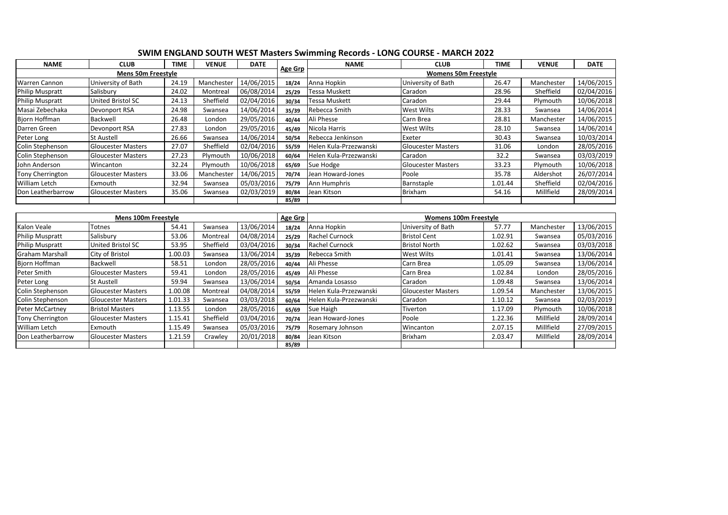| <b>NAME</b>             | <b>CLUB</b>               | <b>TIME</b> | <b>VENUE</b> | <b>DATE</b> |         | <b>NAME</b>            | <b>CLUB</b>                  | <b>TIME</b> | <b>VENUE</b> | <b>DATE</b> |
|-------------------------|---------------------------|-------------|--------------|-------------|---------|------------------------|------------------------------|-------------|--------------|-------------|
|                         | <b>Mens 50m Freestyle</b> |             |              |             | Age Grp |                        | <b>Womens 50m Freestyle</b>  |             |              |             |
| <b>Warren Cannon</b>    | University of Bath        | 24.19       | Manchester   | 14/06/2015  | 18/24   | Anna Hopkin            | University of Bath           | 26.47       | Manchester   | 14/06/2015  |
| <b>Philip Muspratt</b>  | Salisbury                 | 24.02       | Montreal     | 06/08/2014  | 25/29   | Tessa Muskett          | Caradon                      | 28.96       | Sheffield    | 02/04/2016  |
| <b>Philip Muspratt</b>  | United Bristol SC         | 24.13       | Sheffield    | 02/04/2016  | 30/34   | Tessa Muskett          | Caradon                      | 29.44       | Plymouth     | 10/06/2018  |
| Masai Zebechaka         | Devonport RSA             | 24.98       | Swansea      | 14/06/2014  | 35/39   | Rebecca Smith          | West Wilts                   | 28.33       | Swansea      | 14/06/2014  |
| <b>Biorn Hoffman</b>    | <b>Backwell</b>           | 26.48       | London       | 29/05/2016  | 40/44   | Ali Phesse             | Carn Brea                    | 28.81       | Manchester   | 14/06/2015  |
| Darren Green            | Devonport RSA             | 27.83       | London       | 29/05/2016  | 45/49   | Nicola Harris          | West Wilts                   | 28.10       | Swansea      | 14/06/2014  |
| Peter Long              | <b>St Austell</b>         | 26.66       | Swansea      | 14/06/2014  | 50/54   | Rebecca Jenkinson      | Exeter                       | 30.43       | Swansea      | 10/03/2014  |
| Colin Stephenson        | <b>Gloucester Masters</b> | 27.07       | Sheffield    | 02/04/2016  | 55/59   | Helen Kula-Przezwanski | <b>Gloucester Masters</b>    | 31.06       | London       | 28/05/2016  |
| Colin Stephenson        | Gloucester Masters        | 27.23       | Plymouth     | 10/06/2018  | 60/64   | Helen Kula-Przezwanski | Caradon                      | 32.2        | Swansea      | 03/03/2019  |
| John Anderson           | Wincanton                 | 32.24       | Plymouth     | 10/06/2018  | 65/69   | Sue Hodge              | <b>Gloucester Masters</b>    | 33.23       | Plymouth     | 10/06/2018  |
| Tony Cherrington        | <b>Gloucester Masters</b> | 33.06       | Manchester   | 14/06/2015  | 70/74   | Jean Howard-Jones      | Poole                        | 35.78       | Aldershot    | 26/07/2014  |
| William Letch           | Exmouth                   | 32.94       | Swansea      | 05/03/2016  | 75/79   | Ann Humphris           | Barnstaple                   | 1.01.44     | Sheffield    | 02/04/2016  |
| Don Leatherbarrow       | <b>Gloucester Masters</b> | 35.06       | Swansea      | 02/03/2019  | 80/84   | Jean Kitson            | Brixham                      | 54.16       | Millfield    | 28/09/2014  |
|                         |                           |             |              |             | 85/89   |                        |                              |             |              |             |
|                         |                           |             |              |             |         |                        |                              |             |              |             |
|                         | Mens 100m Freestyle       |             |              |             | Age Grp |                        | <b>Womens 100m Freestyle</b> |             |              |             |
| Kalon Veale             | Totnes                    | 54.41       | Swansea      | 13/06/2014  | 18/24   | Anna Hopkin            | University of Bath           | 57.77       | Manchester   | 13/06/2015  |
| <b>Philip Muspratt</b>  | Salisbury                 | 53.06       | Montreal     | 04/08/2014  | 25/29   | <b>Rachel Curnock</b>  | <b>Bristol Cent</b>          | 1.02.91     | Swansea      | 05/03/2016  |
| <b>Philip Muspratt</b>  | United Bristol SC         | 53.95       | Sheffield    | 03/04/2016  | 30/34   | Rachel Curnock         | <b>Bristol North</b>         | 1.02.62     | Swansea      | 03/03/2018  |
| <b>Graham Marshall</b>  | City of Bristol           | 1.00.03     | Swansea      | 13/06/2014  | 35/39   | Rebecca Smith          | West Wilts                   | 1.01.41     | Swansea      | 13/06/2014  |
| <b>Biorn Hoffman</b>    | Backwell                  | 58.51       | London       | 28/05/2016  | 40/44   | Ali Phesse             | Carn Brea                    | 1.05.09     | Swansea      | 13/06/2014  |
| Peter Smith             | <b>Gloucester Masters</b> | 59.41       | London       | 28/05/2016  | 45/49   | Ali Phesse             | Carn Brea                    | 1.02.84     | London       | 28/05/2016  |
| Peter Long              | <b>St Austell</b>         | 59.94       | Swansea      | 13/06/2014  | 50/54   | Amanda Losasso         | Caradon                      | 1.09.48     | Swansea      | 13/06/2014  |
| Colin Stephenson        | <b>Gloucester Masters</b> | 1.00.08     | Montreal     | 04/08/2014  | 55/59   | Helen Kula-Przezwanski | <b>Gloucester Masters</b>    | 1.09.54     | Manchester   | 13/06/2015  |
| Colin Stephenson        | <b>Gloucester Masters</b> | 1.01.33     | Swansea      | 03/03/2018  | 60/64   | Helen Kula-Przezwanski | Caradon                      | 1.10.12     | Swansea      | 02/03/2019  |
| Peter McCartney         | <b>Bristol Masters</b>    | 1.13.55     | London       | 28/05/2016  | 65/69   | Sue Haigh              | Tiverton                     | 1.17.09     | Plymouth     | 10/06/2018  |
| <b>Tony Cherrington</b> | <b>Gloucester Masters</b> | 1.15.41     | Sheffield    | 03/04/2016  | 70/74   | Jean Howard-Jones      | Poole                        | 1.22.36     | Millfield    | 28/09/2014  |
| William Letch           | Exmouth                   | 1.15.49     | Swansea      | 05/03/2016  | 75/79   | Rosemary Johnson       | Wincanton                    | 2.07.15     | Millfield    | 27/09/2015  |

William Letch Exmouth 1.15.49 Swansea 05/03/2016 **75/79** Rosemary Johnson Wincanton 2.07.15 Millfield 27/09/2015 Don Leatherbarrow Gloucester Masters 1.21.59 Crawley 20/01/2018 **80/84** Jean Kitson Brixham 2.03.47 Millfield 28/09/2014

**85/89**

## **SWIM ENGLAND SOUTH WEST Masters Swimming Records - LONG COURSE - MARCH 2022**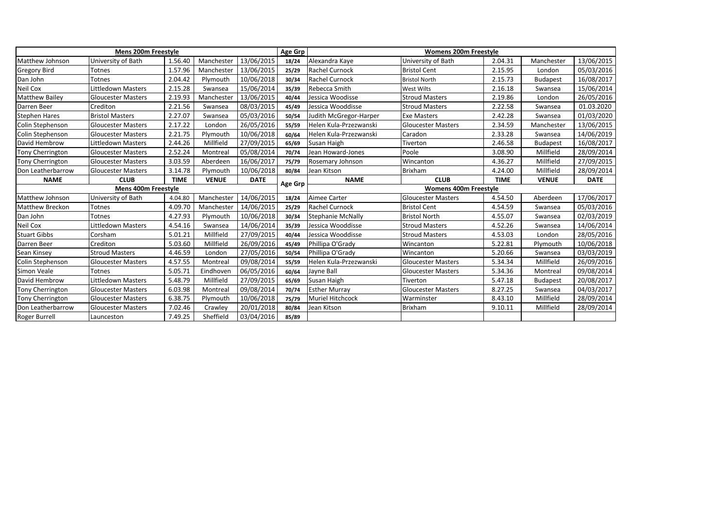|                         | Mens 200m Freestyle       |             |              |             | Age Grp        |                          | <b>Womens 200m Freestyle</b> |             |                 |             |
|-------------------------|---------------------------|-------------|--------------|-------------|----------------|--------------------------|------------------------------|-------------|-----------------|-------------|
| Matthew Johnson         | University of Bath        | 1.56.40     | Manchester   | 13/06/2015  | 18/24          | Alexandra Kaye           | University of Bath           | 2.04.31     | Manchester      | 13/06/2015  |
| Gregory Bird            | Totnes                    | 1.57.96     | Manchester   | 13/06/2015  | 25/29          | Rachel Curnock           | <b>Bristol Cent</b>          | 2.15.95     | London          | 05/03/2016  |
| Dan John                | Totnes                    | 2.04.42     | Plymouth     | 10/06/2018  | 30/34          | Rachel Curnock           | <b>Bristol North</b>         | 2.15.73     | <b>Budapest</b> | 16/08/2017  |
| Neil Cox                | Littledown Masters        | 2.15.28     | Swansea      | 15/06/2014  | 35/39          | Rebecca Smith            | <b>West Wilts</b>            | 2.16.18     | Swansea         | 15/06/2014  |
| <b>Matthew Bailey</b>   | <b>Gloucester Masters</b> | 2.19.93     | Manchester   | 13/06/2015  | 40/44          | Jessica Woodisse         | <b>Stroud Masters</b>        | 2.19.86     | London          | 26/05/2016  |
| Darren Beer             | Crediton                  | 2.21.56     | Swansea      | 08/03/2015  | 45/49          | Jessica Wooddisse        | <b>Stroud Masters</b>        | 2.22.58     | Swansea         | 01.03.2020  |
| <b>Stephen Hares</b>    | <b>Bristol Masters</b>    | 2.27.07     | Swansea      | 05/03/2016  | 50/54          | Judith McGregor-Harper   | <b>Exe Masters</b>           | 2.42.28     | Swansea         | 01/03/2020  |
| Colin Stephenson        | <b>Gloucester Masters</b> | 2.17.22     | London       | 26/05/2016  | 55/59          | Helen Kula-Przezwanski   | <b>Gloucester Masters</b>    | 2.34.59     | Manchester      | 13/06/2015  |
| Colin Stephenson        | <b>Gloucester Masters</b> | 2.21.75     | Plymouth     | 10/06/2018  | 60/64          | Helen Kula-Przezwanski   | Caradon                      | 2.33.28     | Swansea         | 14/06/2019  |
| David Hembrow           | Littledown Masters        | 2.44.26     | Millfield    | 27/09/2015  | 65/69          | Susan Haigh              | Tiverton                     | 2.46.58     | <b>Budapest</b> | 16/08/2017  |
| Tony Cherrington        | <b>Gloucester Masters</b> | 2.52.24     | Montreal     | 05/08/2014  | 70/74          | Jean Howard-Jones        | Poole                        | 3.08.90     | Millfield       | 28/09/2014  |
| <b>Tony Cherrington</b> | <b>Gloucester Masters</b> | 3.03.59     | Aberdeen     | 16/06/2017  | 75/79          | Rosemary Johnson         | Wincanton                    | 4.36.27     | Millfield       | 27/09/2015  |
| Don Leatherbarrow       | <b>Gloucester Masters</b> | 3.14.78     | Plymouth     | 10/06/2018  | 80/84          | Jean Kitson              | <b>Brixham</b>               | 4.24.00     | Millfield       | 28/09/2014  |
| <b>NAME</b>             | <b>CLUB</b>               | <b>TIME</b> | <b>VENUE</b> | <b>DATE</b> | <b>Age Grp</b> | <b>NAME</b>              | <b>CLUB</b>                  | <b>TIME</b> | <b>VENUE</b>    | <b>DATE</b> |
|                         | Mens 400m Freestyle       |             |              |             |                |                          | <b>Womens 400m Freestyle</b> |             |                 |             |
| Matthew Johnson         | University of Bath        | 4.04.80     | Manchester   | 14/06/2015  | 18/24          | Aimee Carter             | <b>Gloucester Masters</b>    | 4.54.50     | Aberdeen        | 17/06/2017  |
| Matthew Breckon         | Totnes                    | 4.09.70     | Manchester   | 14/06/2015  | 25/29          | Rachel Curnock           | <b>Bristol Cent</b>          | 4.54.59     | Swansea         | 05/03/2016  |
| Dan John                | Totnes                    | 4.27.93     | Plymouth     | 10/06/2018  | 30/34          | <b>Stephanie McNally</b> | <b>Bristol North</b>         | 4.55.07     | Swansea         | 02/03/2019  |
| Neil Cox                | Littledown Masters        | 4.54.16     | Swansea      | 14/06/2014  | 35/39          | Jessica Wooddisse        | <b>Stroud Masters</b>        | 4.52.26     | Swansea         | 14/06/2014  |
| <b>Stuart Gibbs</b>     | Corsham                   | 5.01.21     | Millfield    | 27/09/2015  | 40/44          | Jessica Wooddisse        | <b>Stroud Masters</b>        | 4.53.03     | London          | 28/05/2016  |
| Darren Beer             | Crediton                  | 5.03.60     | Millfield    | 26/09/2016  | 45/49          | Phillipa O'Grady         | Wincanton                    | 5.22.81     | Plymouth        | 10/06/2018  |
| Sean Kinsey             | <b>Stroud Masters</b>     | 4.46.59     | London       | 27/05/2016  | 50/54          | Phillipa O'Grady         | Wincanton                    | 5.20.66     | Swansea         | 03/03/2019  |
| Colin Stephenson        | <b>Gloucester Masters</b> | 4.57.55     | Montreal     | 09/08/2014  | 55/59          | Helen Kula-Przezwanski   | <b>Gloucester Masters</b>    | 5.34.34     | Millfield       | 26/09/2016  |
| Simon Veale             | Totnes                    | 5.05.71     | Eindhoven    | 06/05/2016  | 60/64          | Jayne Ball               | <b>Gloucester Masters</b>    | 5.34.36     | Montreal        | 09/08/2014  |
| David Hembrow           | Littledown Masters        | 5.48.79     | Millfield    | 27/09/2015  | 65/69          | Susan Haigh              | Tiverton                     | 5.47.18     | <b>Budapest</b> | 20/08/2017  |
| Tony Cherrington        | <b>Gloucester Masters</b> | 6.03.98     | Montreal     | 09/08/2014  | 70/74          | <b>Esther Murray</b>     | <b>Gloucester Masters</b>    | 8.27.25     | Swansea         | 04/03/2017  |
| Tony Cherrington        | <b>Gloucester Masters</b> | 6.38.75     | Plymouth     | 10/06/2018  | 75/79          | Muriel Hitchcock         | Warminster                   | 8.43.10     | Millfield       | 28/09/2014  |
| Don Leatherbarrow       | <b>Gloucester Masters</b> | 7.02.46     | Crawley      | 20/01/2018  | 80/84          | Jean Kitson              | <b>Brixham</b>               | 9.10.11     | Millfield       | 28/09/2014  |
| Roger Burrell           | Launceston                | 7.49.25     | Sheffield    | 03/04/2016  | 85/89          |                          |                              |             |                 |             |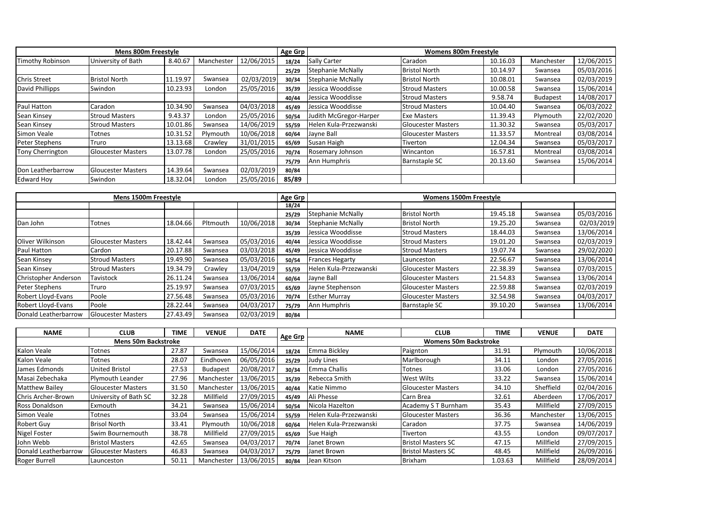|                     | Mens 800m Freestyle       |          |            |            | Age Grp |                          | <b>Womens 800m Freestyle</b> |          |                 |            |
|---------------------|---------------------------|----------|------------|------------|---------|--------------------------|------------------------------|----------|-----------------|------------|
| Timothy Robinson    | University of Bath        | 8.40.67  | Manchester | 12/06/2015 | 18/24   | <b>Sally Carter</b>      | Caradon                      | 10.16.03 | Manchester      | 12/06/2015 |
|                     |                           |          |            |            | 25/29   | <b>Stephanie McNally</b> | <b>Bristol North</b>         | 10.14.97 | Swansea         | 05/03/2016 |
| <b>Chris Street</b> | <b>Bristol North</b>      | 11.19.97 | Swansea    | 02/03/2019 | 30/34   | <b>Stephanie McNally</b> | <b>Bristol North</b>         | 10.08.01 | Swansea         | 02/03/2019 |
| David Phillipps     | Swindon                   | 10.23.93 | London     | 25/05/2016 | 35/39   | Jessica Wooddisse        | <b>Stroud Masters</b>        | 10.00.58 | Swansea         | 15/06/2014 |
|                     |                           |          |            |            | 40/44   | Jessica Wooddisse        | <b>Stroud Masters</b>        | 9.58.74  | <b>Budapest</b> | 14/08/2017 |
| Paul Hatton         | Caradon                   | 10.34.90 | Swansea    | 04/03/2018 | 45/49   | Jessica Wooddisse        | <b>Stroud Masters</b>        | 10.04.40 | Swansea         | 06/03/2022 |
| Sean Kinsey         | <b>Stroud Masters</b>     | 9.43.37  | London     | 25/05/2016 | 50/54   | Judith McGregor-Harper   | <b>Exe Masters</b>           | 11.39.43 | Plymouth        | 22/02/2020 |
| Sean Kinsey         | <b>Stroud Masters</b>     | 10.01.86 | Swansea    | 14/06/2019 | 55/59   | Helen Kula-Przezwanski   | <b>Gloucester Masters</b>    | 11.30.32 | Swansea         | 05/03/2017 |
| Simon Veale         | Totnes                    | 10.31.52 | Plymouth   | 10/06/2018 | 60/64   | Jayne Ball               | <b>Gloucester Masters</b>    | 11.33.57 | Montreal        | 03/08/2014 |
| Peter Stephens      | Truro                     | 13.13.68 | Crawley    | 31/01/2015 | 65/69   | Susan Haigh              | Tiverton                     | 12.04.34 | Swansea         | 05/03/2017 |
| Tony Cherrington    | <b>Gloucester Masters</b> | 13.07.78 | London     | 25/05/2016 | 70/74   | Rosemary Johnson         | Wincanton                    | 16.57.81 | Montreal        | 03/08/2014 |
|                     |                           |          |            |            | 75/79   | Ann Humphris             | <b>Barnstaple SC</b>         | 20.13.60 | Swansea         | 15/06/2014 |
| Don Leatherbarrow   | <b>Gloucester Masters</b> | 14.39.64 | Swansea    | 02/03/2019 | 80/84   |                          |                              |          |                 |            |
| <b>Edward Hoy</b>   | Swindon                   | 18.32.04 | London     | 25/05/2016 | 85/89   |                          |                              |          |                 |            |

|                      | Mens 1500m Freestyle      |          |          |            | Age Grp |                          | Womens 1500m Freestyle    |          |         |            |
|----------------------|---------------------------|----------|----------|------------|---------|--------------------------|---------------------------|----------|---------|------------|
|                      |                           |          |          |            | 18/24   |                          |                           |          |         |            |
|                      |                           |          |          |            | 25/29   | <b>Stephanie McNally</b> | <b>Bristol North</b>      | 19.45.18 | Swansea | 05/03/2016 |
| Dan John             | Totnes                    | 18.04.66 | Pltmouth | 10/06/2018 | 30/34   | <b>Stephanie McNally</b> | <b>Bristol North</b>      | 19.25.20 | Swansea | 02/03/2019 |
|                      |                           |          |          |            | 35/39   | Jessica Wooddisse        | <b>Stroud Masters</b>     | 18.44.03 | Swansea | 13/06/2014 |
| Oliver Wilkinson     | <b>Gloucester Masters</b> | 18.42.44 | Swansea  | 05/03/2016 | 40/44   | Jessica Wooddisse        | <b>Stroud Masters</b>     | 19.01.20 | Swansea | 02/03/2019 |
| Paul Hatton          | Cardon                    | 20.17.88 | Swansea  | 03/03/2018 | 45/49   | Jessica Wooddisse        | <b>Stroud Masters</b>     | 19.07.74 | Swansea | 29/02/2020 |
| Sean Kinsey          | <b>Stroud Masters</b>     | 19.49.90 | Swansea  | 05/03/2016 | 50/54   | <b>Frances Hegarty</b>   | Launceston                | 22.56.67 | Swansea | 13/06/2014 |
| Sean Kinsey          | <b>Stroud Masters</b>     | 19.34.79 | Crawley  | 13/04/2019 | 55/59   | Helen Kula-Przezwanski   | <b>Gloucester Masters</b> | 22.38.39 | Swansea | 07/03/2015 |
| Christopher Anderson | Tavistock                 | 26.11.24 | Swansea  | 13/06/2014 | 60/64   | Jayne Ball               | <b>Gloucester Masters</b> | 21.54.83 | Swansea | 13/06/2014 |
| Peter Stephens       | Truro                     | 25.19.97 | Swansea  | 07/03/2015 | 65/69   | Jayne Stephenson         | <b>Gloucester Masters</b> | 22.59.88 | Swansea | 02/03/2019 |
| Robert Lloyd-Evans   | Poole                     | 27.56.48 | Swansea  | 05/03/2016 | 70/74   | <b>Esther Murray</b>     | <b>Gloucester Masters</b> | 32.54.98 | Swansea | 04/03/2017 |
| Robert Lloyd-Evans   | Poole                     | 28.22.44 | Swansea  | 04/03/2017 | 75/79   | Ann Humphris             | <b>Barnstaple SC</b>      | 39.10.20 | Swansea | 13/06/2014 |
| Donald Leatherbarrow | <b>Gloucester Masters</b> | 27.43.49 | Swansea  | 02/03/2019 | 80/84   |                          |                           |          |         |            |

| <b>NAME</b>           | <b>CLUB</b>                | TIME  | <b>VENUE</b>    | <b>DATE</b> |         | <b>NAME</b>            | <b>CLUB</b>                  | <b>TIME</b> | <b>VENUE</b> | <b>DATE</b> |
|-----------------------|----------------------------|-------|-----------------|-------------|---------|------------------------|------------------------------|-------------|--------------|-------------|
|                       | <b>Mens 50m Backstroke</b> |       |                 |             | Age Grp |                        | <b>Womens 50m Backstroke</b> |             |              |             |
| Kalon Veale           | Totnes                     | 27.87 | Swansea         | 15/06/2014  | 18/24   | Emma Bickley           | Paignton                     | 31.91       | Plymouth     | 10/06/2018  |
| Kalon Veale           | Totnes                     | 28.07 | Eindhoven       | 06/05/2016  | 25/29   | Judy Lines             | Marlborough                  | 34.11       | London       | 27/05/2016  |
| James Edmonds         | United Bristol             | 27.53 | <b>Budapest</b> | 20/08/2017  | 30/34   | Emma Challis           | Totnes                       | 33.06       | London       | 27/05/2016  |
| Masai Zebechaka       | Plymouth Leander           | 27.96 | Manchester      | 13/06/2015  | 35/39   | Rebecca Smith          | <b>West Wilts</b>            | 33.22       | Swansea      | 15/06/2014  |
| <b>Matthew Bailey</b> | <b>Gloucester Masters</b>  | 31.50 | Manchester      | 13/06/2015  | 40/44   | Katie Nimmo            | <b>Gloucester Masters</b>    | 34.10       | Sheffield    | 02/04/2016  |
| Chris Archer-Brown    | University of Bath SC      | 32.28 | Millfield       | 27/09/2015  | 45/49   | Ali Phesse             | Carn Brea                    | 32.61       | Aberdeen     | 17/06/2017  |
| <b>Ross Donaldson</b> | Exmouth                    | 34.21 | Swansea         | 15/06/2014  | 50/54   | Nicola Hazelton        | Academy S T Burnham          | 35.43       | Millfield    | 27/09/2015  |
| Simon Veale           | Totnes                     | 33.04 | Swansea         | 15/06/2014  | 55/59   | Helen Kula-Przezwanski | <b>Gloucester Masters</b>    | 36.36       | Manchester   | 13/06/2015  |
| <b>Robert Guy</b>     | <b>Brisol North</b>        | 33.41 | Plymouth        | 10/06/2018  | 60/64   | Helen Kula-Przezwanski | Caradon                      | 37.75       | Swansea      | 14/06/2019  |
| Nigel Foster          | Swim Bournemouth           | 38.78 | Millfield       | 27/09/2015  | 65/69   | Sue Haigh              | Tiverton                     | 43.55       | London       | 09/07/2017  |
| John Webb             | <b>Bristol Masters</b>     | 42.65 | Swansea         | 04/03/2017  | 70/74   | Janet Brown            | <b>Bristol Masters SC</b>    | 47.15       | Millfield    | 27/09/2015  |
| Donald Leatherbarrow  | <b>Gloucester Masters</b>  | 46.83 | Swansea         | 04/03/2017  | 75/79   | Janet Brown            | <b>Bristol Masters SC</b>    | 48.45       | Millfield    | 26/09/2016  |
| Roger Burrell         | Launceston                 | 50.11 | Manchester      | 13/06/2015  | 80/84   | Jean Kitson            | <b>Brixham</b>               | 1.03.63     | Millfield    | 28/09/2014  |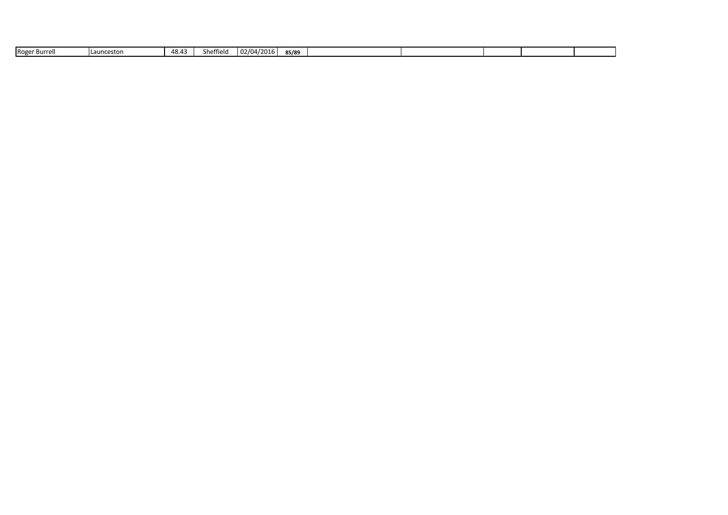| Roger<br>r Burrell. | uncestor | 48.43 | Sheffield | 02/04/2016 | 85/89 |  |  |  |
|---------------------|----------|-------|-----------|------------|-------|--|--|--|
|                     |          |       |           |            |       |  |  |  |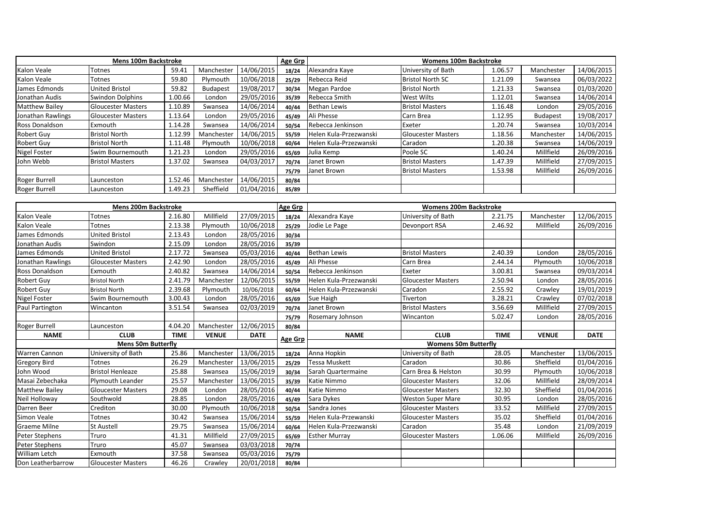|                     | <b>Mens 100m Backstroke</b> |         |                 |            | Age Grp |                        | <b>Womens 100m Backstroke</b> |         |                 |            |
|---------------------|-----------------------------|---------|-----------------|------------|---------|------------------------|-------------------------------|---------|-----------------|------------|
| Kalon Veale         | Totnes                      | 59.41   | Manchester      | 14/06/2015 | 18/24   | Alexandra Kaye         | University of Bath            | 1.06.57 | Manchester      | 14/06/2015 |
| Kalon Veale         | Totnes                      | 59.80   | Plymouth        | 10/06/2018 | 25/29   | Rebecca Reid           | <b>Bristol North SC</b>       | 1.21.09 | Swansea         | 06/03/2022 |
| James Edmonds       | United Bristol              | 59.82   | <b>Budapest</b> | 19/08/2017 | 30/34   | Megan Pardoe           | <b>Bristol North</b>          | 1.21.33 | Swansea         | 01/03/2020 |
| Jonathan Audis      | Swindon Dolphins            | 1.00.66 | London          | 29/05/2016 | 35/39   | Rebecca Smith          | <b>West Wilts</b>             | 1.12.01 | Swansea         | 14/06/2014 |
| Matthew Bailey      | <b>Gloucester Masters</b>   | 1.10.89 | Swansea         | 14/06/2014 | 40/44   | <b>Bethan Lewis</b>    | <b>Bristol Masters</b>        | 1.16.48 | London          | 29/05/2016 |
| Jonathan Rawlings   | <b>Gloucester Masters</b>   | 1.13.64 | London          | 29/05/2016 | 45/49   | Ali Phesse             | Carn Brea                     | 1.12.95 | <b>Budapest</b> | 19/08/2017 |
| Ross Donaldson      | Exmouth                     | 1.14.28 | Swansea         | 14/06/2014 | 50/54   | Rebecca Jenkinson      | Exeter                        | 1.20.74 | Swansea         | 10/03/2014 |
| <b>Robert Guy</b>   | <b>Bristol North</b>        | 1.12.99 | Manchester      | 14/06/2015 | 55/59   | Helen Kula-Przezwanski | <b>Gloucester Masters</b>     | 1.18.56 | Manchester      | 14/06/2015 |
| Robert Guy          | <b>Bristol North</b>        | 1.11.48 | Plymouth        | 10/06/2018 | 60/64   | Helen Kula-Przezwanski | Caradon                       | 1.20.38 | Swansea         | 14/06/2019 |
| <b>Nigel Foster</b> | Swim Bournemouth            | 1.21.23 | London          | 29/05/2016 | 65/69   | Julia Kemp             | Poole SC                      | 1.40.24 | Millfield       | 26/09/2016 |
| John Webb           | <b>Bristol Masters</b>      | 1.37.02 | Swansea         | 04/03/2017 | 70/74   | Janet Brown            | <b>Bristol Masters</b>        | 1.47.39 | Millfield       | 27/09/2015 |
|                     |                             |         |                 |            | 75/79   | Janet Brown            | <b>Bristol Masters</b>        | 1.53.98 | Millfield       | 26/09/2016 |
| Roger Burrell       | Launceston                  | 1.52.46 | Manchester      | 14/06/2015 | 80/84   |                        |                               |         |                 |            |
| Roger Burrell       | Launceston                  | 1.49.23 | Sheffield       | 01/04/2016 | 85/89   |                        |                               |         |                 |            |

|                       | <b>Mens 200m Backstroke</b> |             |              |             | Age Grp |                        | <b>Womens 200m Backstroke</b> |             |              |             |
|-----------------------|-----------------------------|-------------|--------------|-------------|---------|------------------------|-------------------------------|-------------|--------------|-------------|
| Kalon Veale           | Totnes                      | 2.16.80     | Millfield    | 27/09/2015  | 18/24   | Alexandra Kaye         | University of Bath            | 2.21.75     | Manchester   | 12/06/2015  |
| Kalon Veale           | Totnes                      | 2.13.38     | Plymouth     | 10/06/2018  | 25/29   | Jodie Le Page          | Devonport RSA                 | 2.46.92     | Millfield    | 26/09/2016  |
| James Edmonds         | <b>United Bristol</b>       | 2.13.43     | London       | 28/05/2016  | 30/34   |                        |                               |             |              |             |
| Jonathan Audis        | Swindon                     | 2.15.09     | London       | 28/05/2016  | 35/39   |                        |                               |             |              |             |
| James Edmonds         | <b>United Bristol</b>       | 2.17.72     | Swansea      | 05/03/2016  | 40/44   | <b>Bethan Lewis</b>    | <b>Bristol Masters</b>        | 2.40.39     | London       | 28/05/2016  |
| Jonathan Rawlings     | <b>Gloucester Masters</b>   | 2.42.90     | London       | 28/05/2016  | 45/49   | Ali Phesse             | Carn Brea                     | 2.44.14     | Plymouth     | 10/06/2018  |
| Ross Donaldson        | Exmouth                     | 2.40.82     | Swansea      | 14/06/2014  | 50/54   | Rebecca Jenkinson      | Exeter                        | 3.00.81     | Swansea      | 09/03/2014  |
| <b>Robert Guy</b>     | <b>Bristol North</b>        | 2.41.79     | Manchester   | 12/06/2015  | 55/59   | Helen Kula-Przezwanski | <b>Gloucester Masters</b>     | 2.50.94     | London       | 28/05/2016  |
| <b>Robert Guy</b>     | <b>Bristol North</b>        | 2.39.68     | Plymouth     | 10/06/2018  | 60/64   | Helen Kula-Przezwanski | Caradon                       | 2.55.92     | Crawley      | 19/01/2019  |
| Nigel Foster          | Swim Bournemouth            | 3.00.43     | London       | 28/05/2016  | 65/69   | Sue Haigh              | Tiverton                      | 3.28.21     | Crawley      | 07/02/2018  |
| Paul Partington       | Wincanton                   | 3.51.54     | Swansea      | 02/03/2019  | 70/74   | Janet Brown            | <b>Bristol Masters</b>        | 3.56.69     | Millfield    | 27/09/2015  |
|                       |                             |             |              |             | 75/79   | Rosemary Johnson       | Wincanton                     | 5.02.47     | London       | 28/05/2016  |
| Roger Burrell         | Launceston                  | 4.04.20     | Manchester   | 12/06/2015  | 80/84   |                        |                               |             |              |             |
| <b>NAME</b>           | <b>CLUB</b>                 | <b>TIME</b> | <b>VENUE</b> | <b>DATE</b> | Age Grp | <b>NAME</b>            | <b>CLUB</b>                   | <b>TIME</b> | <b>VENUE</b> | <b>DATE</b> |
|                       | <b>Mens 50m Butterfly</b>   |             |              |             |         |                        | <b>Womens 50m Butterfly</b>   |             |              |             |
| Warren Cannon         | University of Bath          | 25.86       | Manchester   | 13/06/2015  | 18/24   | Anna Hopkin            | University of Bath            | 28.05       | Manchester   | 13/06/2015  |
| <b>Gregory Bird</b>   | Totnes                      | 26.29       | Manchester   | 13/06/2015  | 25/29   | <b>Tessa Muskett</b>   | Caradon                       | 30.86       | Sheffield    | 01/04/2016  |
| John Wood             | <b>Bristol Henleaze</b>     | 25.88       | Swansea      | 15/06/2019  | 30/34   | Sarah Quartermaine     | Carn Brea & Helston           | 30.99       | Plymouth     | 10/06/2018  |
| Masai Zebechaka       | Plymouth Leander            | 25.57       | Manchester   | 13/06/2015  | 35/39   | Katie Nimmo            | <b>Gloucester Masters</b>     | 32.06       | Millfield    | 28/09/2014  |
| <b>Matthew Bailey</b> | <b>Gloucester Masters</b>   | 29.08       | London       | 28/05/2016  | 40/44   | Katie Nimmo            | <b>Gloucester Masters</b>     | 32.30       | Sheffield    | 01/04/2016  |
| Neil Holloway         | Southwold                   | 28.85       | London       | 28/05/2016  | 45/49   | Sara Dykes             | <b>Weston Super Mare</b>      | 30.95       | London       | 28/05/2016  |
| Darren Beer           | Crediton                    | 30.00       | Plymouth     | 10/06/2018  | 50/54   | Sandra Jones           | <b>Gloucester Masters</b>     | 33.52       | Millfield    | 27/09/2015  |
| Simon Veale           | <b>Totnes</b>               | 30.42       | Swansea      | 15/06/2014  | 55/59   | Helen Kula-Przewanski  | <b>Gloucester Masters</b>     | 35.02       | Sheffield    | 01/04/2016  |
| Graeme Milne          | <b>St Austell</b>           | 29.75       | Swansea      | 15/06/2014  | 60/64   | Helen Kula-Przezwanski | Caradon                       | 35.48       | London       | 21/09/2019  |
| Peter Stephens        | Truro                       | 41.31       | Millfield    | 27/09/2015  | 65/69   | <b>Esther Murray</b>   | <b>Gloucester Masters</b>     | 1.06.06     | Millfield    | 26/09/2016  |
| Peter Stephens        | Truro                       | 45.07       | Swansea      | 03/03/2018  | 70/74   |                        |                               |             |              |             |
| William Letch         | Exmouth                     | 37.58       | Swansea      | 05/03/2016  | 75/79   |                        |                               |             |              |             |
| Don Leatherbarrow     | <b>Gloucester Masters</b>   | 46.26       | Crawley      | 20/01/2018  | 80/84   |                        |                               |             |              |             |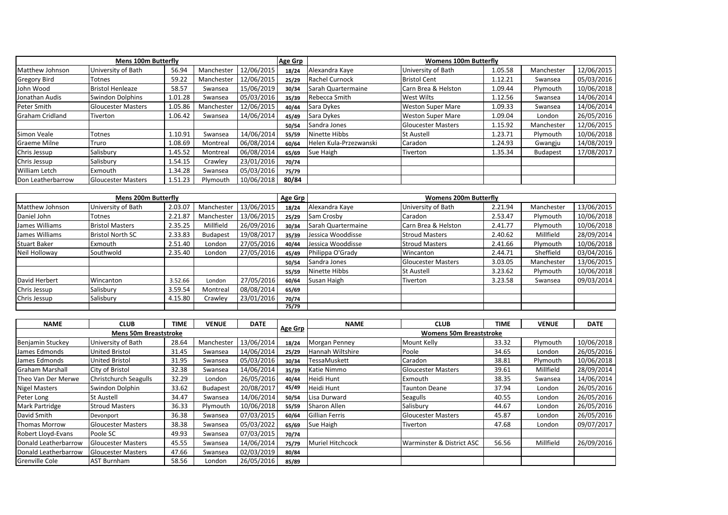|                        | <b>Mens 100m Butterfly</b> |         |            |            | Age Grp |                        | <b>Womens 100m Butterfly</b> |         |                 |            |
|------------------------|----------------------------|---------|------------|------------|---------|------------------------|------------------------------|---------|-----------------|------------|
| Matthew Johnson        | University of Bath         | 56.94   | Manchester | 12/06/2015 | 18/24   | Alexandra Kaye         | University of Bath           | 1.05.58 | Manchester      | 12/06/2015 |
| <b>Gregory Bird</b>    | Totnes                     | 59.22   | Manchester | 12/06/2015 | 25/29   | Rachel Curnock         | <b>Bristol Cent</b>          | 1.12.21 | Swansea         | 05/03/2016 |
| John Wood              | <b>Bristol Henleaze</b>    | 58.57   | Swansea    | 15/06/2019 | 30/34   | Sarah Quartermaine     | Carn Brea & Helston          | 1.09.44 | Plymouth        | 10/06/2018 |
| Jonathan Audis         | <b>Swindon Dolphins</b>    | 1.01.28 | Swansea    | 05/03/2016 | 35/39   | Rebecca Smith          | <b>West Wilts</b>            | 1.12.56 | Swansea         | 14/06/2014 |
| Peter Smith            | <b>Gloucester Masters</b>  | 1.05.86 | Manchester | 12/06/2015 | 40/44   | Sara Dykes             | <b>Weston Super Mare</b>     | 1.09.33 | Swansea         | 14/06/2014 |
| <b>Graham Cridland</b> | Tiverton                   | 1.06.42 | Swansea    | 14/06/2014 | 45/49   | Sara Dykes             | <b>Weston Super Mare</b>     | 1.09.04 | London          | 26/05/2016 |
|                        |                            |         |            |            | 50/54   | Sandra Jones           | <b>Gloucester Masters</b>    | 1.15.92 | Manchester      | 12/06/2015 |
| Simon Veale            | Totnes                     | 1.10.91 | Swansea    | 14/06/2014 | 55/59   | Ninette Hibbs          | <b>St Austell</b>            | 1.23.71 | Plymouth        | 10/06/2018 |
| <b>Graeme Milne</b>    | Truro                      | 1.08.69 | Montreal   | 06/08/2014 | 60/64   | Helen Kula-Przezwanski | Caradon                      | 1.24.93 | Gwangju         | 14/08/2019 |
| Chris Jessup           | Salisbury                  | 1.45.52 | Montreal   | 06/08/2014 | 65/69   | Sue Haigh              | Tiverton                     | 1.35.34 | <b>Budapest</b> | 17/08/2017 |
| Chris Jessup           | Salisbury                  | 1.54.15 | Crawley    | 23/01/2016 | 70/74   |                        |                              |         |                 |            |
| <b>William Letch</b>   | Exmouth                    | 1.34.28 | Swansea    | 05/03/2016 | 75/79   |                        |                              |         |                 |            |
| Don Leatherbarrow      | <b>Gloucester Masters</b>  | 1.51.23 | Plymouth   | 10/06/2018 | 80/84   |                        |                              |         |                 |            |

|                 | <b>Mens 200m Butterfly</b> |         |                 |            | Age Grp |                    | <b>Womens 200m Butterfly</b> |         |            |            |
|-----------------|----------------------------|---------|-----------------|------------|---------|--------------------|------------------------------|---------|------------|------------|
| Matthew Johnson | University of Bath         | 2.03.07 | Manchester      | 13/06/2015 | 18/24   | Alexandra Kaye     | University of Bath           | 2.21.94 | Manchester | 13/06/2015 |
| Daniel John     | Totnes                     | 2.21.87 | Manchester      | 13/06/2015 | 25/29   | Sam Crosby         | Caradon                      | 2.53.47 | Plymouth   | 10/06/2018 |
| James Williams  | <b>Bristol Masters</b>     | 2.35.25 | Millfield       | 26/09/2016 | 30/34   | Sarah Quartermaine | Carn Brea & Helston          | 2.41.77 | Plymouth   | 10/06/2018 |
| James Williams  | <b>Bristol North SC</b>    | 2.33.83 | <b>Budapest</b> | 19/08/2017 | 35/39   | Jessica Wooddisse  | <b>Stroud Masters</b>        | 2.40.62 | Millfield  | 28/09/2014 |
| Stuart Baker    | Exmouth                    | 2.51.40 | London          | 27/05/2016 | 40/44   | Jessica Wooddisse  | <b>Stroud Masters</b>        | 2.41.66 | Plymouth   | 10/06/2018 |
| Neil Holloway   | Southwold                  | 2.35.40 | London          | 27/05/2016 | 45/49   | Philippa O'Grady   | Wincanton                    | 2.44.71 | Sheffield  | 03/04/2016 |
|                 |                            |         |                 |            | 50/54   | Sandra Jones       | <b>Gloucester Masters</b>    | 3.03.05 | Manchester | 13/06/2015 |
|                 |                            |         |                 |            | 55/59   | Ninette Hibbs      | <b>St Austell</b>            | 3.23.62 | Plymouth   | 10/06/2018 |
| David Herbert   | Wincanton                  | 3.52.66 | London          | 27/05/2016 | 60/64   | Susan Haigh        | Tiverton                     | 3.23.58 | Swansea    | 09/03/2014 |
| Chris Jessup    | Salisbury                  | 3.59.54 | Montreal        | 08/08/2014 | 65/69   |                    |                              |         |            |            |
| Chris Jessup    | Salisbury                  | 4.15.80 | Crawley         | 23/01/2016 | 70/74   |                    |                              |         |            |            |
|                 |                            |         |                 |            | 75/79   |                    |                              |         |            |            |

| <b>NAME</b>            | <b>CLUB</b>                  | TIME  | <b>VENUE</b>    | <b>DATE</b> |         | <b>NAME</b>      | <b>CLUB</b>                    | <b>TIME</b> | <b>VENUE</b> | <b>DATE</b> |
|------------------------|------------------------------|-------|-----------------|-------------|---------|------------------|--------------------------------|-------------|--------------|-------------|
|                        | <b>Mens 50m Breaststroke</b> |       |                 |             | Age Grp |                  | <b>Womens 50m Breaststroke</b> |             |              |             |
| Benjamin Stuckey       | University of Bath           | 28.64 | Manchester      | 13/06/2014  | 18/24   | Morgan Penney    | Mount Kelly                    | 33.32       | Plymouth     | 10/06/2018  |
| James Edmonds          | United Bristol               | 31.45 | Swansea         | 14/06/2014  | 25/29   | Hannah Wiltshire | Poole                          | 34.65       | London       | 26/05/2016  |
| James Edmonds          | United Bristol               | 31.95 | Swansea         | 05/03/2016  | 30/34   | TessaMuskett     | Caradon                        | 38.81       | Plymouth     | 10/06/2018  |
| <b>Graham Marshall</b> | City of Bristol              | 32.38 | Swansea         | 14/06/2014  | 35/39   | Katie Nimmo      | <b>Gloucester Masters</b>      | 39.61       | Millfield    | 28/09/2014  |
| Theo Van Der Merwe     | <b>Christchurch Seagulls</b> | 32.29 | London          | 26/05/2016  | 40/44   | Heidi Hunt       | Exmouth                        | 38.35       | Swansea      | 14/06/2014  |
| <b>Nigel Masters</b>   | Swindon Dolphin              | 33.62 | <b>Budapest</b> | 20/08/2017  | 45/49   | Heidi Hunt       | <b>Taunton Deane</b>           | 37.94       | London       | 26/05/2016  |
| Peter Long             | St Austell                   | 34.47 | Swansea         | 14/06/2014  | 50/54   | Lisa Durward     | Seagulls                       | 40.55       | London       | 26/05/2016  |
| Mark Partridge         | <b>Stroud Masters</b>        | 36.33 | Plymouth        | 10/06/2018  | 55/59   | Sharon Allen     | Salisbury                      | 44.67       | London       | 26/05/2016  |
| David Smith            | Devonport                    | 36.38 | Swansea         | 07/03/2015  | 60/64   | Gillian Ferris   | <b>Gloucester Masters</b>      | 45.87       | London       | 26/05/2016  |
| <b>Thomas Morrow</b>   | <b>Gloucester Masters</b>    | 38.38 | Swansea         | 05/03/2022  | 65/69   | Sue Haigh        | Tiverton                       | 47.68       | London       | 09/07/2017  |
| Robert Lloyd-Evans     | Poole SC                     | 49.93 | Swansea         | 07/03/2015  | 70/74   |                  |                                |             |              |             |
| Donald Leatherbarrow   | <b>Gloucester Masters</b>    | 45.55 | Swansea         | 14/06/2014  | 75/79   | Muriel Hitchcock | Warminster & District ASC      | 56.56       | Millfield    | 26/09/2016  |
| Donald Leatherbarrow   | <b>Gloucester Masters</b>    | 47.66 | Swansea         | 02/03/2019  | 80/84   |                  |                                |             |              |             |
| Grenville Cole         | <b>AST Burnham</b>           | 58.56 | London          | 26/05/2016  | 85/89   |                  |                                |             |              |             |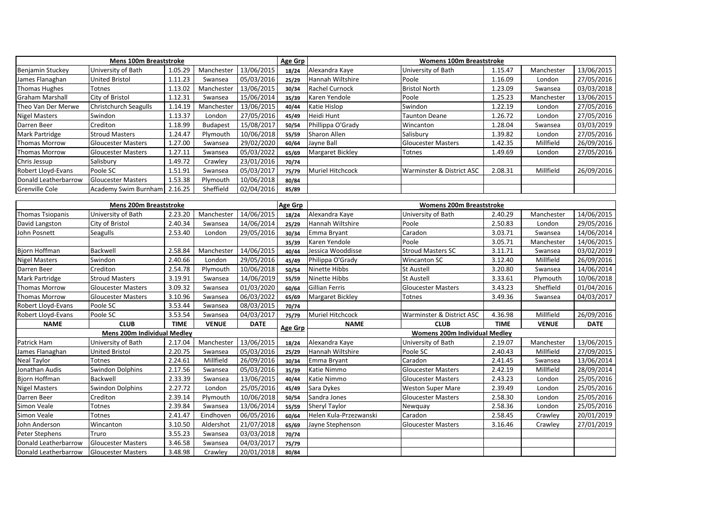|                      | <b>Mens 100m Breaststroke</b> |         |            |            | Age Grp |                         | <b>Womens 100m Breaststroke</b> |         |            |            |
|----------------------|-------------------------------|---------|------------|------------|---------|-------------------------|---------------------------------|---------|------------|------------|
| Benjamin Stuckey     | University of Bath            | 1.05.29 | Manchester | 13/06/2015 | 18/24   | Alexandra Kaye          | University of Bath              | 1.15.47 | Manchester | 13/06/2015 |
| James Flanaghan      | United Bristol                | 1.11.23 | Swansea    | 05/03/2016 | 25/29   | Hannah Wiltshire        | Poole                           | 1.16.09 | London     | 27/05/2016 |
| Thomas Hughes        | Totnes                        | 1.13.02 | Manchester | 13/06/2015 | 30/34   | <b>Rachel Curnock</b>   | <b>Bristol North</b>            | 1.23.09 | Swansea    | 03/03/2018 |
| l Graham Marshall    | City of Bristol               | 1.12.31 | Swansea    | 15/06/2014 | 35/39   | Karen Yendole           | Poole                           | 1.25.23 | Manchester | 13/06/2015 |
| Theo Van Der Merwe   | <b>Christchurch Seagulls</b>  | 1.14.19 | Manchester | 13/06/2015 | 40/44   | Katie Hislop            | Swindon                         | 1.22.19 | London     | 27/05/2016 |
| <b>Nigel Masters</b> | Swindon                       | 1.13.37 | London     | 27/05/2016 | 45/49   | Heidi Hunt              | <b>Taunton Deane</b>            | 1.26.72 | London     | 27/05/2016 |
| Darren Beer          | Crediton                      | 1.18.99 | Budapest   | 15/08/2017 | 50/54   | Phillippa O'Grady       | Wincanton                       | 1.28.04 | Swansea    | 03/03/2019 |
| Mark Partridge       | <b>Stroud Masters</b>         | 1.24.47 | Plymouth   | 10/06/2018 | 55/59   | Sharon Allen            | Salisbury                       | 1.39.82 | London     | 27/05/2016 |
| <b>Thomas Morrow</b> | <b>Gloucester Masters</b>     | 1.27.00 | Swansea    | 29/02/2020 | 60/64   | Jayne Ball              | <b>Gloucester Masters</b>       | 1.42.35 | Millfield  | 26/09/2016 |
| <b>Thomas Morrow</b> | <b>Gloucester Masters</b>     | 1.27.11 | Swansea    | 05/03/2022 | 65/69   | <b>Margaret Bickley</b> | Totnes                          | 1.49.69 | London     | 27/05/2016 |
| Chris Jessup         | Salisbury                     | 1.49.72 | Crawley    | 23/01/2016 | 70/74   |                         |                                 |         |            |            |
| Robert Lloyd-Evans   | Poole SC                      | 1.51.91 | Swansea    | 05/03/2017 | 75/79   | <b>Muriel Hitchcock</b> | Warminster & District ASC       | 2.08.31 | Millfield  | 26/09/2016 |
| Donald Leatherbarrow | <b>Gloucester Masters</b>     | 1.53.38 | Plymouth   | 10/06/2018 | 80/84   |                         |                                 |         |            |            |
| Grenville Cole       | Academy Swim Burnham          | 2.16.25 | Sheffield  | 02/04/2016 | 85/89   |                         |                                 |         |            |            |

| <b>Mens 200m Breaststroke</b> |                           |             |              |             | Age Grp | <b>Womens 200m Breaststroke</b> |                               |             |              |             |
|-------------------------------|---------------------------|-------------|--------------|-------------|---------|---------------------------------|-------------------------------|-------------|--------------|-------------|
| Thomas Tsiopanis              | University of Bath        | 2.23.20     | Manchester   | 14/06/2015  | 18/24   | Alexandra Kaye                  | University of Bath            | 2.40.29     | Manchester   | 14/06/2015  |
| David Langston                | City of Bristol           | 2.40.34     | Swansea      | 14/06/2014  | 25/29   | Hannah Wiltshire                | Poole                         | 2.50.83     | London       | 29/05/2016  |
| John Posnett                  | <b>Seagulls</b>           | 2.53.40     | London       | 29/05/2016  | 30/34   | Emma Bryant                     | Caradon                       | 3.03.71     | Swansea      | 14/06/2014  |
|                               |                           |             |              |             | 35/39   | Karen Yendole                   | Poole                         | 3.05.71     | Manchester   | 14/06/2015  |
| <b>Bjorn Hoffman</b>          | Backwell                  | 2.58.84     | Manchester   | 14/06/2015  | 40/44   | Jessica Wooddisse               | <b>Stroud Masters SC</b>      | 3.11.71     | Swansea      | 03/02/2019  |
| <b>Nigel Masters</b>          | Swindon                   | 2.40.66     | London       | 29/05/2016  | 45/49   | Philippa O'Grady                | <b>Wincanton SC</b>           | 3.12.40     | Millfield    | 26/09/2016  |
| Darren Beer                   | Crediton                  | 2.54.78     | Plymouth     | 10/06/2018  | 50/54   | Ninette Hibbs                   | <b>St Austell</b>             | 3.20.80     | Swansea      | 14/06/2014  |
| Mark Partridge                | <b>Stroud Masters</b>     | 3.19.91     | Swansea      | 14/06/2019  | 55/59   | Ninette Hibbs                   | <b>St Austell</b>             | 3.33.61     | Plymouth     | 10/06/2018  |
| <b>Thomas Morrow</b>          | <b>Gloucester Masters</b> | 3.09.32     | Swansea      | 01/03/2020  | 60/64   | <b>Gillian Ferris</b>           | <b>Gloucester Masters</b>     | 3.43.23     | Sheffield    | 01/04/2016  |
| <b>Thomas Morrow</b>          | <b>Gloucester Masters</b> | 3.10.96     | Swansea      | 06/03/2022  | 65/69   | <b>Margaret Bickley</b>         | Totnes                        | 3.49.36     | Swansea      | 04/03/2017  |
| Robert Lloyd-Evans            | Poole SC                  | 3.53.44     | Swansea      | 08/03/2015  | 70/74   |                                 |                               |             |              |             |
| Robert Lloyd-Evans            | Poole SC                  | 3.53.54     | Swansea      | 04/03/2017  | 75/79   | Muriel Hitchcock                | Warminster & District ASC     | 4.36.98     | Millfield    | 26/09/2016  |
| <b>NAME</b>                   | <b>CLUB</b>               | <b>TIME</b> | <b>VENUE</b> | <b>DATE</b> | Age Grp | <b>NAME</b>                     | <b>CLUB</b>                   | <b>TIME</b> | <b>VENUE</b> | <b>DATE</b> |
| Mens 200m Individual Medley   |                           |             |              |             |         |                                 | Womens 200m Individual Medley |             |              |             |
| Patrick Ham                   | University of Bath        | 2.17.04     | Manchester   | 13/06/2015  | 18/24   | Alexandra Kaye                  | University of Bath            | 2.19.07     | Manchester   | 13/06/2015  |
| James Flanaghan               | <b>United Bristol</b>     | 2.20.75     | Swansea      | 05/03/2016  | 25/29   | Hannah Wiltshire                | Poole SC                      | 2.40.43     | Millfield    | 27/09/2015  |
| <b>Neal Taylor</b>            | Totnes                    | 2.24.61     | Millfield    | 26/09/2016  | 30/34   | Emma Bryant                     | Caradon                       | 2.41.45     | Swansea      | 13/06/2014  |
| Jonathan Audis                | <b>Swindon Dolphins</b>   | 2.17.56     | Swansea      | 05/03/2016  | 35/39   | Katie Nimmo                     | <b>Gloucester Masters</b>     | 2.42.19     | Millfield    | 28/09/2014  |
| Bjorn Hoffman                 | Backwell                  | 2.33.39     | Swansea      | 13/06/2015  | 40/44   | Katie Nimmo                     | <b>Gloucester Masters</b>     | 2.43.23     | London       | 25/05/2016  |
| <b>Nigel Masters</b>          | <b>Swindon Dolphins</b>   | 2.27.72     | London       | 25/05/2016  | 45/49   | Sara Dykes                      | <b>Weston Super Mare</b>      | 2.39.49     | London       | 25/05/2016  |
| Darren Beer                   | Crediton                  | 2.39.14     | Plymouth     | 10/06/2018  | 50/54   | Sandra Jones                    | <b>Gloucester Masters</b>     | 2.58.30     | London       | 25/05/2016  |
| Simon Veale                   | Totnes                    | 2.39.84     | Swansea      | 13/06/2014  | 55/59   | Sheryl Taylor                   | Newquay                       | 2.58.36     | London       | 25/05/2016  |
| Simon Veale                   | Totnes                    | 2.41.47     | Eindhoven    | 06/05/2016  | 60/64   | Helen Kula-Przezwanski          | Caradon                       | 2.58.45     | Crawley      | 20/01/2019  |
| John Anderson                 | Wincanton                 | 3.10.50     | Aldershot    | 21/07/2018  | 65/69   | Jayne Stephenson                | <b>Gloucester Masters</b>     | 3.16.46     | Crawley      | 27/01/2019  |
| Peter Stephens                | Truro                     | 3.55.23     | Swansea      | 03/03/2018  | 70/74   |                                 |                               |             |              |             |
| Donald Leatherbarrow          | <b>Gloucester Masters</b> | 3.46.58     | Swansea      | 04/03/2017  | 75/79   |                                 |                               |             |              |             |
| Donald Leatherbarrow          | <b>Gloucester Masters</b> | 3.48.98     | Crawley      | 20/01/2018  | 80/84   |                                 |                               |             |              |             |